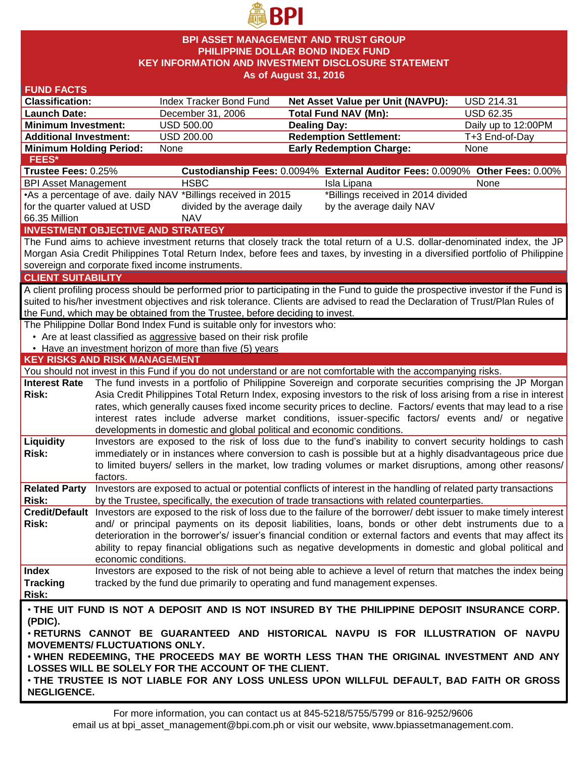

### **BPI ASSET MANAGEMENT AND TRUST GROUP PHILIPPINE DOLLAR BOND INDEX FUND KEY INFORMATION AND INVESTMENT DISCLOSURE STATEMENT As of August 31, 2016**

| <b>FUND FACTS</b>                                                                                                        |                                                                                                                                                                                                                            |                                                                                                                                    |                                                                              |  |                     |  |
|--------------------------------------------------------------------------------------------------------------------------|----------------------------------------------------------------------------------------------------------------------------------------------------------------------------------------------------------------------------|------------------------------------------------------------------------------------------------------------------------------------|------------------------------------------------------------------------------|--|---------------------|--|
| <b>Classification:</b>                                                                                                   |                                                                                                                                                                                                                            | Index Tracker Bond Fund                                                                                                            | Net Asset Value per Unit (NAVPU):                                            |  | <b>USD 214.31</b>   |  |
| <b>Launch Date:</b>                                                                                                      |                                                                                                                                                                                                                            | December 31, 2006                                                                                                                  | <b>Total Fund NAV (Mn):</b>                                                  |  | <b>USD 62.35</b>    |  |
| <b>Minimum Investment:</b>                                                                                               |                                                                                                                                                                                                                            | USD 500.00                                                                                                                         | <b>Dealing Day:</b>                                                          |  | Daily up to 12:00PM |  |
| <b>Additional Investment:</b>                                                                                            |                                                                                                                                                                                                                            | <b>USD 200.00</b>                                                                                                                  | <b>Redemption Settlement:</b>                                                |  | T+3 End-of-Day      |  |
| <b>Minimum Holding Period:</b>                                                                                           |                                                                                                                                                                                                                            | None                                                                                                                               | <b>Early Redemption Charge:</b>                                              |  | None                |  |
| FEES*                                                                                                                    |                                                                                                                                                                                                                            |                                                                                                                                    |                                                                              |  |                     |  |
| Trustee Fees: 0.25%                                                                                                      |                                                                                                                                                                                                                            |                                                                                                                                    | Custodianship Fees: 0.0094% External Auditor Fees: 0.0090% Other Fees: 0.00% |  |                     |  |
| <b>BPI Asset Management</b>                                                                                              |                                                                                                                                                                                                                            | <b>HSBC</b>                                                                                                                        | Isla Lipana                                                                  |  | None                |  |
|                                                                                                                          |                                                                                                                                                                                                                            | •As a percentage of ave. daily NAV *Billings received in 2015                                                                      | *Billings received in 2014 divided                                           |  |                     |  |
| for the quarter valued at USD                                                                                            |                                                                                                                                                                                                                            | divided by the average daily                                                                                                       | by the average daily NAV                                                     |  |                     |  |
| 66.35 Million                                                                                                            |                                                                                                                                                                                                                            | <b>NAV</b>                                                                                                                         |                                                                              |  |                     |  |
|                                                                                                                          |                                                                                                                                                                                                                            | <b>INVESTMENT OBJECTIVE AND STRATEGY</b>                                                                                           |                                                                              |  |                     |  |
|                                                                                                                          |                                                                                                                                                                                                                            | The Fund aims to achieve investment returns that closely track the total return of a U.S. dollar-denominated index, the JP         |                                                                              |  |                     |  |
|                                                                                                                          |                                                                                                                                                                                                                            | Morgan Asia Credit Philippines Total Return Index, before fees and taxes, by investing in a diversified portfolio of Philippine    |                                                                              |  |                     |  |
|                                                                                                                          |                                                                                                                                                                                                                            | sovereign and corporate fixed income instruments.                                                                                  |                                                                              |  |                     |  |
| <b>CLIENT SUITABILITY</b>                                                                                                |                                                                                                                                                                                                                            |                                                                                                                                    |                                                                              |  |                     |  |
|                                                                                                                          |                                                                                                                                                                                                                            | A client profiling process should be performed prior to participating in the Fund to guide the prospective investor if the Fund is |                                                                              |  |                     |  |
|                                                                                                                          |                                                                                                                                                                                                                            | suited to his/her investment objectives and risk tolerance. Clients are advised to read the Declaration of Trust/Plan Rules of     |                                                                              |  |                     |  |
|                                                                                                                          |                                                                                                                                                                                                                            | the Fund, which may be obtained from the Trustee, before deciding to invest.                                                       |                                                                              |  |                     |  |
|                                                                                                                          |                                                                                                                                                                                                                            | The Philippine Dollar Bond Index Fund is suitable only for investors who:                                                          |                                                                              |  |                     |  |
|                                                                                                                          |                                                                                                                                                                                                                            | • Are at least classified as aggressive based on their risk profile                                                                |                                                                              |  |                     |  |
|                                                                                                                          |                                                                                                                                                                                                                            | • Have an investment horizon of more than five (5) years                                                                           |                                                                              |  |                     |  |
| <b>KEY RISKS AND RISK MANAGEMENT</b>                                                                                     |                                                                                                                                                                                                                            |                                                                                                                                    |                                                                              |  |                     |  |
|                                                                                                                          |                                                                                                                                                                                                                            | You should not invest in this Fund if you do not understand or are not comfortable with the accompanying risks.                    |                                                                              |  |                     |  |
| <b>Interest Rate</b>                                                                                                     |                                                                                                                                                                                                                            | The fund invests in a portfolio of Philippine Sovereign and corporate securities comprising the JP Morgan                          |                                                                              |  |                     |  |
| Risk:                                                                                                                    |                                                                                                                                                                                                                            | Asia Credit Philippines Total Return Index, exposing investors to the risk of loss arising from a rise in interest                 |                                                                              |  |                     |  |
|                                                                                                                          | rates, which generally causes fixed income security prices to decline. Factors/ events that may lead to a rise                                                                                                             |                                                                                                                                    |                                                                              |  |                     |  |
|                                                                                                                          |                                                                                                                                                                                                                            | interest rates include adverse market conditions, issuer-specific factors/ events and/ or negative                                 |                                                                              |  |                     |  |
|                                                                                                                          |                                                                                                                                                                                                                            | developments in domestic and global political and economic conditions.                                                             |                                                                              |  |                     |  |
| Liquidity                                                                                                                |                                                                                                                                                                                                                            | Investors are exposed to the risk of loss due to the fund's inability to convert security holdings to cash                         |                                                                              |  |                     |  |
| Risk:                                                                                                                    |                                                                                                                                                                                                                            | immediately or in instances where conversion to cash is possible but at a highly disadvantageous price due                         |                                                                              |  |                     |  |
|                                                                                                                          |                                                                                                                                                                                                                            | to limited buyers/ sellers in the market, low trading volumes or market disruptions, among other reasons/                          |                                                                              |  |                     |  |
|                                                                                                                          | factors.                                                                                                                                                                                                                   |                                                                                                                                    |                                                                              |  |                     |  |
| <b>Related Party</b>                                                                                                     |                                                                                                                                                                                                                            | Investors are exposed to actual or potential conflicts of interest in the handling of related party transactions                   |                                                                              |  |                     |  |
| <b>Risk:</b>                                                                                                             |                                                                                                                                                                                                                            | by the Trustee, specifically, the execution of trade transactions with related counterparties.                                     |                                                                              |  |                     |  |
|                                                                                                                          |                                                                                                                                                                                                                            | Credit/Default Investors are exposed to the risk of loss due to the failure of the borrower/ debt issuer to make timely interest   |                                                                              |  |                     |  |
| Risk:                                                                                                                    | and/ or principal payments on its deposit liabilities, loans, bonds or other debt instruments due to a<br>deterioration in the borrower's/ issuer's financial condition or external factors and events that may affect its |                                                                                                                                    |                                                                              |  |                     |  |
|                                                                                                                          |                                                                                                                                                                                                                            |                                                                                                                                    |                                                                              |  |                     |  |
|                                                                                                                          |                                                                                                                                                                                                                            | ability to repay financial obligations such as negative developments in domestic and global political and                          |                                                                              |  |                     |  |
|                                                                                                                          | economic conditions.                                                                                                                                                                                                       |                                                                                                                                    |                                                                              |  |                     |  |
| <b>Index</b>                                                                                                             |                                                                                                                                                                                                                            | Investors are exposed to the risk of not being able to achieve a level of return that matches the index being                      |                                                                              |  |                     |  |
| <b>Tracking</b>                                                                                                          |                                                                                                                                                                                                                            | tracked by the fund due primarily to operating and fund management expenses.                                                       |                                                                              |  |                     |  |
| Risk:                                                                                                                    |                                                                                                                                                                                                                            |                                                                                                                                    |                                                                              |  |                     |  |
| . THE UIT FUND IS NOT A DEPOSIT AND IS NOT INSURED BY THE PHILIPPINE DEPOSIT INSURANCE CORP.                             |                                                                                                                                                                                                                            |                                                                                                                                    |                                                                              |  |                     |  |
| (PDIC).                                                                                                                  |                                                                                                                                                                                                                            |                                                                                                                                    |                                                                              |  |                     |  |
| . RETURNS CANNOT BE GUARANTEED AND HISTORICAL NAVPU IS FOR ILLUSTRATION OF NAVPU<br><b>MOVEMENTS/ FLUCTUATIONS ONLY.</b> |                                                                                                                                                                                                                            |                                                                                                                                    |                                                                              |  |                     |  |
|                                                                                                                          |                                                                                                                                                                                                                            |                                                                                                                                    |                                                                              |  |                     |  |
|                                                                                                                          |                                                                                                                                                                                                                            | . WHEN REDEEMING, THE PROCEEDS MAY BE WORTH LESS THAN THE ORIGINAL INVESTMENT AND ANY                                              |                                                                              |  |                     |  |
| LOSSES WILL BE SOLELY FOR THE ACCOUNT OF THE CLIENT.                                                                     |                                                                                                                                                                                                                            |                                                                                                                                    |                                                                              |  |                     |  |
| . THE TRUSTEE IS NOT LIABLE FOR ANY LOSS UNLESS UPON WILLFUL DEFAULT, BAD FAITH OR GROSS                                 |                                                                                                                                                                                                                            |                                                                                                                                    |                                                                              |  |                     |  |
| <b>NEGLIGENCE.</b>                                                                                                       |                                                                                                                                                                                                                            |                                                                                                                                    |                                                                              |  |                     |  |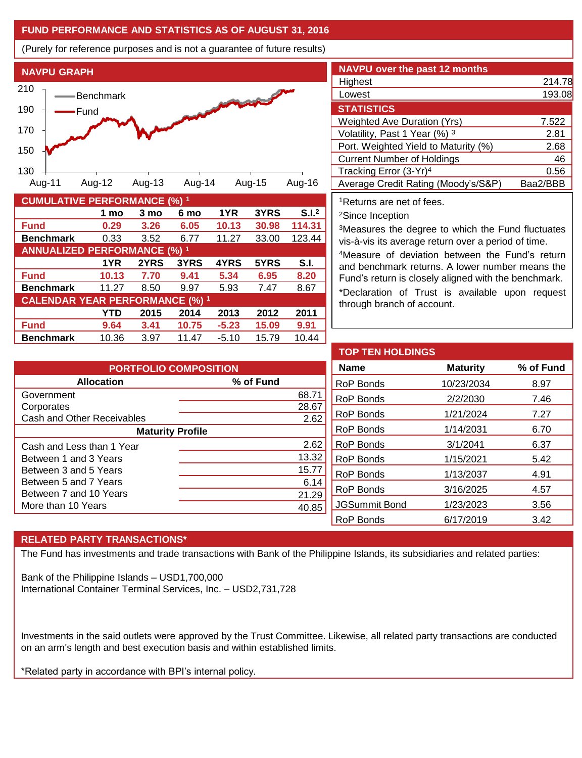# **FUND PERFORMANCE AND STATISTICS AS OF AUGUST 31, 2016**

(Purely for reference purposes and is not a guarantee of future results)



| <b>CUMULATIVE PERFORMANCE (%) 1</b>    |       |      |       |         |       |                   |
|----------------------------------------|-------|------|-------|---------|-------|-------------------|
|                                        | 1 mo  | 3 mo | 6 mo  | 1YR     | 3YRS  | S.I. <sup>2</sup> |
| <b>Fund</b>                            | 0.29  | 3.26 | 6.05  | 10.13   | 30.98 | 114.31            |
| <b>Benchmark</b>                       | 0.33  | 3.52 | 6.77  | 11.27   | 33.00 | 123.44            |
| <b>ANNUALIZED PERFORMANCE (%) 1</b>    |       |      |       |         |       |                   |
|                                        | 1YR   | 2YRS | 3YRS  | 4YRS    | 5YRS  | S.I.              |
| <b>Fund</b>                            | 10.13 | 7.70 | 9.41  | 5.34    | 6.95  | 8.20              |
| <b>Benchmark</b>                       | 11.27 | 8.50 | 9.97  | 5.93    | 7.47  | 8.67              |
| <b>CALENDAR YEAR PERFORMANCE (%) 1</b> |       |      |       |         |       |                   |
|                                        | YTD   | 2015 | 2014  | 2013    | 2012  | 2011              |
| <b>Fund</b>                            | 9.64  | 3.41 | 10.75 | $-5.23$ | 15.09 | 9.91              |
| <b>Benchmark</b>                       | 10.36 | 3.97 | 11.47 | $-5.10$ | 15.79 | 10.44             |

| <b>NAVPU over the past 12 months</b> |          |
|--------------------------------------|----------|
| Highest                              | 214.78   |
| Lowest                               | 193.08   |
| <b>STATISTICS</b>                    |          |
| <b>Weighted Ave Duration (Yrs)</b>   | 7.522    |
| Volatility, Past 1 Year (%) 3        | 2.81     |
| Port. Weighted Yield to Maturity (%) | 2.68     |
| <b>Current Number of Holdings</b>    | 46       |
| Tracking Error (3-Yr) <sup>4</sup>   | 0.56     |
| Average Credit Rating (Moody's/S&P)  | Baa2/BBB |

<sup>1</sup>Returns are net of fees.

<sup>2</sup>Since Inception

<sup>3</sup>Measures the degree to which the Fund fluctuates vis-à-vis its average return over a period of time.

<sup>4</sup>Measure of deviation between the Fund's return and benchmark returns. A lower number means the Fund's return is closely aligned with the benchmark. \*Declaration of Trust is available upon request

through branch of account.

| <b>PORTFOLIO COMPOSITION</b> |  |  |  |  |  |
|------------------------------|--|--|--|--|--|
| % of Fund                    |  |  |  |  |  |
| 68.71                        |  |  |  |  |  |
| 28.67                        |  |  |  |  |  |
| 2.62                         |  |  |  |  |  |
| <b>Maturity Profile</b>      |  |  |  |  |  |
| 2.62                         |  |  |  |  |  |
| 13.32                        |  |  |  |  |  |
| 15.77                        |  |  |  |  |  |
| 6.14                         |  |  |  |  |  |
| 21.29                        |  |  |  |  |  |
| 40.85                        |  |  |  |  |  |
|                              |  |  |  |  |  |

| <b>TOP TEN HOLDINGS</b> |                 |           |
|-------------------------|-----------------|-----------|
| <b>Name</b>             | <b>Maturity</b> | % of Fund |
| <b>RoP Bonds</b>        | 10/23/2034      | 8.97      |
| RoP Bonds               | 2/2/2030        | 7.46      |
| RoP Bonds               | 1/21/2024       | 7.27      |
| RoP Bonds               | 1/14/2031       | 6.70      |
| RoP Bonds               | 3/1/2041        | 6.37      |
| RoP Bonds               | 1/15/2021       | 5.42      |
| RoP Bonds               | 1/13/2037       | 4.91      |
| RoP Bonds               | 3/16/2025       | 4.57      |
| <b>JGSummit Bond</b>    | 1/23/2023       | 3.56      |
| <b>RoP Bonds</b>        | 6/17/2019       | 3.42      |

## **RELATED PARTY TRANSACTIONS\***

The Fund has investments and trade transactions with Bank of the Philippine Islands, its subsidiaries and related parties:

Bank of the Philippine Islands – USD1,700,000 International Container Terminal Services, Inc. – USD2,731,728

Investments in the said outlets were approved by the Trust Committee. Likewise, all related party transactions are conducted on an arm's length and best execution basis and within established limits.

\*Related party in accordance with BPI's internal policy.